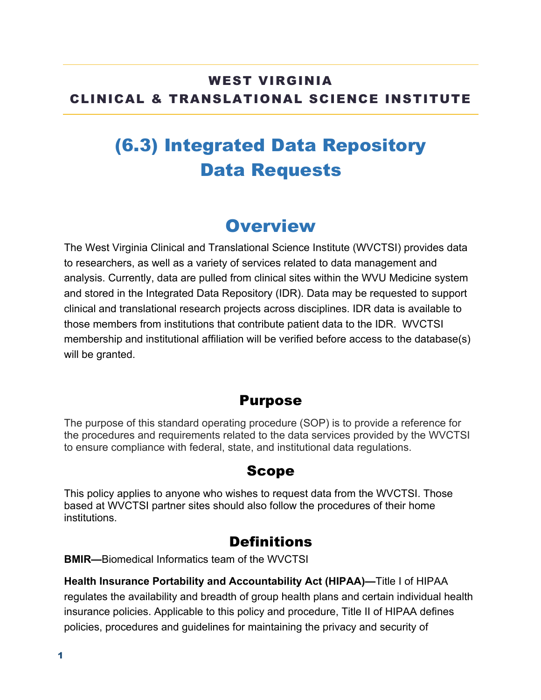### WEST VIRGINIA CLINICAL & TRANSLATIONAL SCIENCE INSTITUTE

# (6.3) Integrated Data Repository Data Requests

## **Overview**

The West Virginia Clinical and Translational Science Institute (WVCTSI) provides data to researchers, as well as a variety of services related to data management and analysis. Currently, data are pulled from clinical sites within the WVU Medicine system and stored in the Integrated Data Repository (IDR). Data may be requested to support clinical and translational research projects across disciplines. IDR data is available to those members from institutions that contribute patient data to the IDR. WVCTSI membership and institutional affiliation will be verified before access to the database(s) will be granted.

#### Purpose

The purpose of this standard operating procedure (SOP) is to provide a reference for the procedures and requirements related to the data services provided by the WVCTSI to ensure compliance with federal, state, and institutional data regulations.

#### Scope

This policy applies to anyone who wishes to request data from the WVCTSI. Those based at WVCTSI partner sites should also follow the procedures of their home institutions.

### **Definitions**

**BMIR—**Biomedical Informatics team of the WVCTSI

**Health Insurance Portability and Accountability Act (HIPAA)—**Title I of HIPAA regulates the availability and breadth of group health plans and certain individual health insurance policies. Applicable to this policy and procedure, Title II of HIPAA defines policies, procedures and guidelines for maintaining the privacy and security of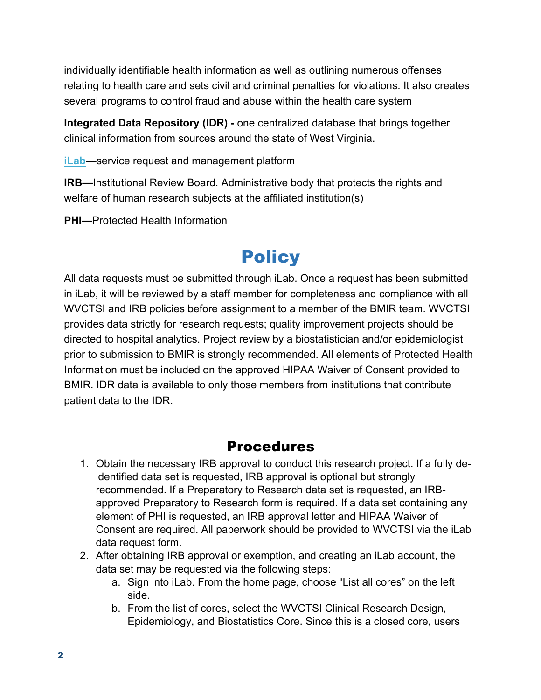individually identifiable health information as well as outlining numerous offenses relating to health care and sets civil and criminal penalties for violations. It also creates several programs to control fraud and abuse within the health care system

**Integrated Data Repository (IDR) -** one centralized database that brings together clinical information from sources around the state of West Virginia.

**iLab—**service request and management platform

**IRB—**Institutional Review Board. Administrative body that protects the rights and welfare of human research subjects at the affiliated institution(s)

**PHI—**Protected Health Information

## **Policy**

All data requests must be submitted through iLab. Once a request has been submitted in iLab, it will be reviewed by a staff member for completeness and compliance with all WVCTSI and IRB policies before assignment to a member of the BMIR team. WVCTSI provides data strictly for research requests; quality improvement projects should be directed to hospital analytics. Project review by a biostatistician and/or epidemiologist prior to submission to BMIR is strongly recommended. All elements of Protected Health Information must be included on the approved HIPAA Waiver of Consent provided to BMIR. IDR data is available to only those members from institutions that contribute patient data to the IDR.

#### Procedures

- 1. Obtain the necessary IRB approval to conduct this research project. If a fully deidentified data set is requested, IRB approval is optional but strongly recommended. If a Preparatory to Research data set is requested, an IRBapproved Preparatory to Research form is required. If a data set containing any element of PHI is requested, an IRB approval letter and HIPAA Waiver of Consent are required. All paperwork should be provided to WVCTSI via the iLab data request form.
- 2. After obtaining IRB approval or exemption, and creating an iLab account, the data set may be requested via the following steps:
	- a. Sign into iLab. From the home page, choose "List all cores" on the left side.
	- b. From the list of cores, select the WVCTSI Clinical Research Design, Epidemiology, and Biostatistics Core. Since this is a closed core, users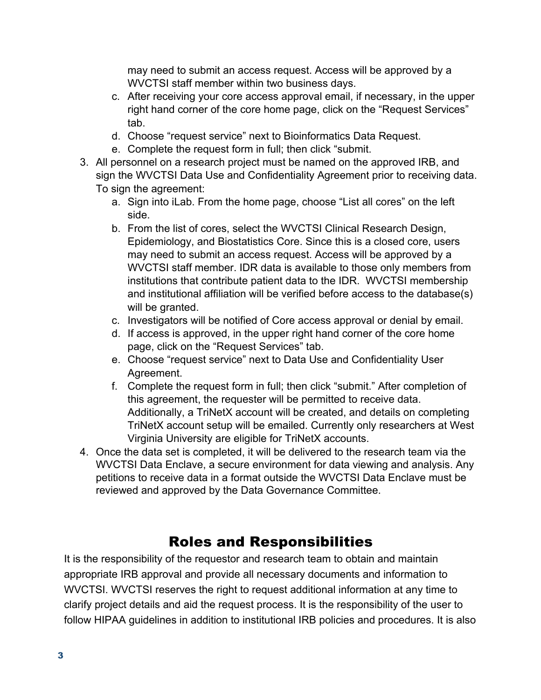may need to submit an access request. Access will be approved by a WVCTSI staff member within two business days.

- c. After receiving your core access approval email, if necessary, in the upper right hand corner of the core home page, click on the "Request Services" tab.
- d. Choose "request service" next to Bioinformatics Data Request.
- e. Complete the request form in full; then click "submit.
- 3. All personnel on a research project must be named on the approved IRB, and sign the WVCTSI Data Use and Confidentiality Agreement prior to receiving data. To sign the agreement:
	- a. Sign into iLab. From the home page, choose "List all cores" on the left side.
	- b. From the list of cores, select the WVCTSI Clinical Research Design, Epidemiology, and Biostatistics Core. Since this is a closed core, users may need to submit an access request. Access will be approved by a WVCTSI staff member. IDR data is available to those only members from institutions that contribute patient data to the IDR. WVCTSI membership and institutional affiliation will be verified before access to the database(s) will be granted.
	- c. Investigators will be notified of Core access approval or denial by email.
	- d. If access is approved, in the upper right hand corner of the core home page, click on the "Request Services" tab.
	- e. Choose "request service" next to Data Use and Confidentiality User Agreement.
	- f. Complete the request form in full; then click "submit." After completion of this agreement, the requester will be permitted to receive data. Additionally, a TriNetX account will be created, and details on completing TriNetX account setup will be emailed. Currently only researchers at West Virginia University are eligible for TriNetX accounts.
- 4. Once the data set is completed, it will be delivered to the research team via the WVCTSI Data Enclave, a secure environment for data viewing and analysis. Any petitions to receive data in a format outside the WVCTSI Data Enclave must be reviewed and approved by the Data Governance Committee.

### Roles and Responsibilities

It is the responsibility of the requestor and research team to obtain and maintain appropriate IRB approval and provide all necessary documents and information to WVCTSI. WVCTSI reserves the right to request additional information at any time to clarify project details and aid the request process. It is the responsibility of the user to follow HIPAA guidelines in addition to institutional IRB policies and procedures. It is also